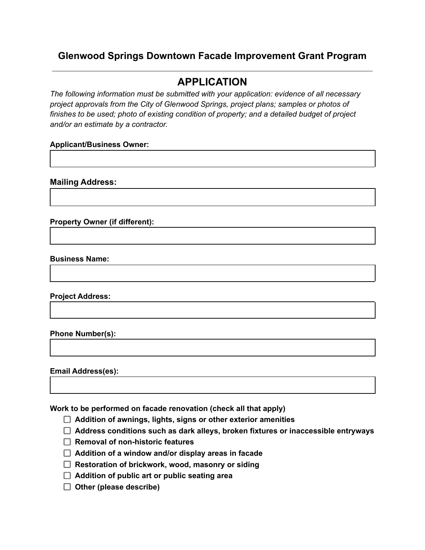## **Glenwood Springs Downtown Facade Improvement Grant Program**

# **APPLICATION**

*The following information must be submitted with your application: evidence of all necessary project approvals from the City of Glenwood Springs, project plans; samples or photos of finishes to be used; photo of existing condition of property; and a detailed budget of project and/or an estimate by a contractor.*

## **Applicant/Business Owner:**

**Mailing Address:**

**Property Owner (if different):**

**Business Name:**

**Project Address:**

**Phone Number(s):**

**Email Address(es):**

**Work to be performed on facade renovation (check all that apply)**

- **Addition of awnings, lights, signs or other exterior amenities**
- **Address conditions such as dark alleys, broken fixtures or inaccessible entryways**
- **Removal of non-historic features**
- **Addition of a window and/or display areas in facade**
- **Restoration of brickwork, wood, masonry or siding**
- **Addition of public art or public seating area**
- **Other (please describe)**